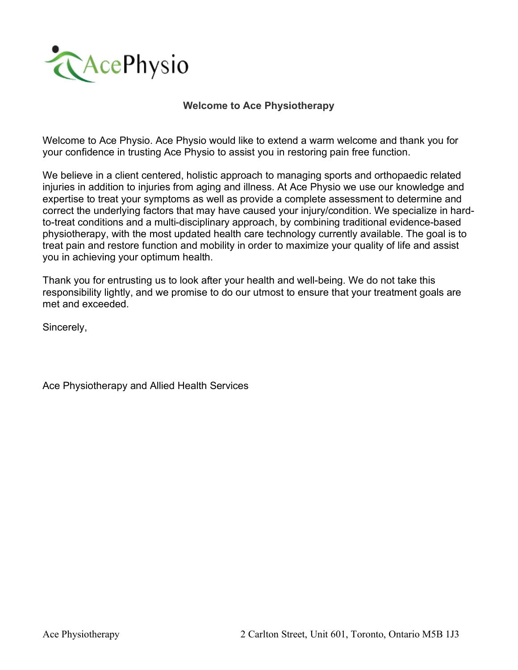

#### **Welcome to Ace Physiotherapy**

Welcome to Ace Physio. Ace Physio would like to extend a warm welcome and thank you for your confidence in trusting Ace Physio to assist you in restoring pain free function.

We believe in a client centered, holistic approach to managing sports and orthopaedic related injuries in addition to injuries from aging and illness. At Ace Physio we use our knowledge and expertise to treat your symptoms as well as provide a complete assessment to determine and correct the underlying factors that may have caused your injury/condition. We specialize in hardto-treat conditions and a multi-disciplinary approach, by combining traditional evidence-based physiotherapy, with the most updated health care technology currently available. The goal is to treat pain and restore function and mobility in order to maximize your quality of life and assist you in achieving your optimum health.

Thank you for entrusting us to look after your health and well-being. We do not take this responsibility lightly, and we promise to do our utmost to ensure that your treatment goals are met and exceeded.

Sincerely,

Ace Physiotherapy and Allied Health Services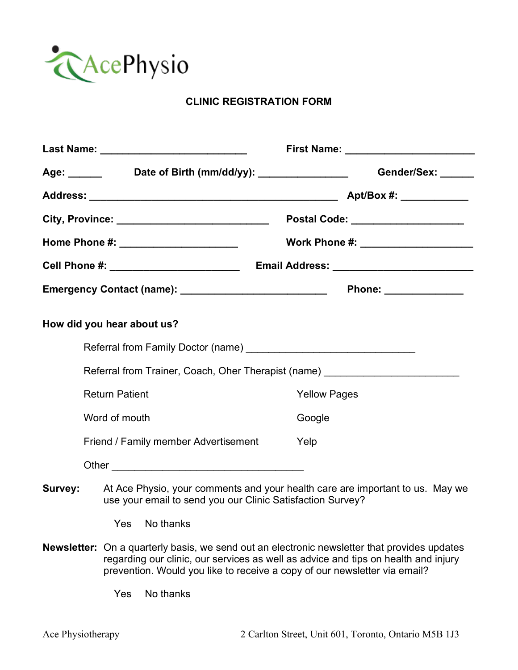

# **CLINIC REGISTRATION FORM**

|                                                                                                                                                                                                                                                                           |                                                                                                                                             | Age: ________ Date of Birth (mm/dd/yy): ________________ Gender/Sex: _____       |
|---------------------------------------------------------------------------------------------------------------------------------------------------------------------------------------------------------------------------------------------------------------------------|---------------------------------------------------------------------------------------------------------------------------------------------|----------------------------------------------------------------------------------|
|                                                                                                                                                                                                                                                                           |                                                                                                                                             |                                                                                  |
|                                                                                                                                                                                                                                                                           | City, Province: _____________________________                                                                                               | Postal Code: ____________________                                                |
|                                                                                                                                                                                                                                                                           | Home Phone #: _________________________                                                                                                     | Work Phone #: ________________________                                           |
|                                                                                                                                                                                                                                                                           |                                                                                                                                             |                                                                                  |
|                                                                                                                                                                                                                                                                           | Emergency Contact (name): ________________________________                                                                                  | Phone: ______________                                                            |
|                                                                                                                                                                                                                                                                           | How did you hear about us?                                                                                                                  |                                                                                  |
|                                                                                                                                                                                                                                                                           |                                                                                                                                             |                                                                                  |
|                                                                                                                                                                                                                                                                           |                                                                                                                                             | Referral from Trainer, Coach, Oher Therapist (name) ____________________________ |
|                                                                                                                                                                                                                                                                           | <b>Return Patient</b>                                                                                                                       | <b>Yellow Pages</b>                                                              |
|                                                                                                                                                                                                                                                                           | Word of mouth                                                                                                                               | Google                                                                           |
|                                                                                                                                                                                                                                                                           | Friend / Family member Advertisement                                                                                                        | Yelp                                                                             |
|                                                                                                                                                                                                                                                                           |                                                                                                                                             |                                                                                  |
| Survey:                                                                                                                                                                                                                                                                   | At Ace Physio, your comments and your health care are important to us. May we<br>use your email to send you our Clinic Satisfaction Survey? |                                                                                  |
|                                                                                                                                                                                                                                                                           | Yes<br>No thanks                                                                                                                            |                                                                                  |
| <b>Newsletter:</b><br>On a quarterly basis, we send out an electronic newsletter that provides updates<br>regarding our clinic, our services as well as advice and tips on health and injury<br>prevention. Would you like to receive a copy of our newsletter via email? |                                                                                                                                             |                                                                                  |
|                                                                                                                                                                                                                                                                           | No thanks<br>Yes                                                                                                                            |                                                                                  |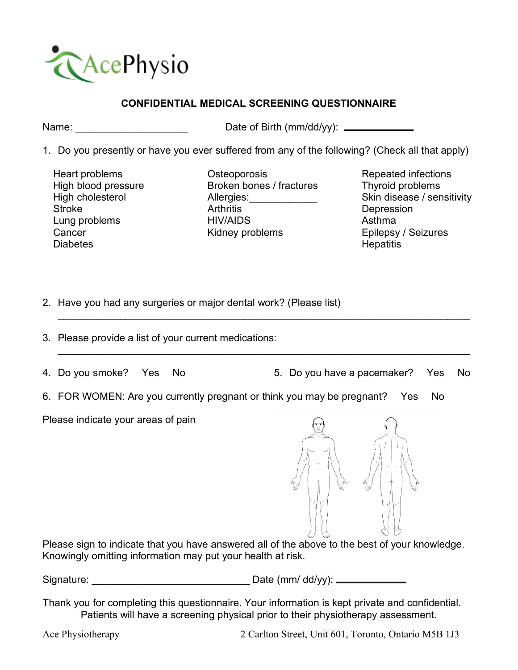

# **CONFIDENTIAL MEDICAL SCREENING QUESTIONNAIRE**

Name: Name: Name: Name: 2012 12:30 Name: 2012 12:30 Name: 2012 12:30 Name: 2013 12:30 Name: 2013 12:30 Name: 2013 12:30 Name: 2013 12:30 Name: 2013 12:30 Name: 2013 12:30 Name: 2013 12:30 Name: 2013 12:30 Name: 2013 12:30

- 1. Do you presently or have you ever suffered from any of the following? (Check all that apply)
	- Heart problems High blood pressure High cholesterol **Stroke**  Lung problems Cancer Diabetes

**Osteoporosis**  Broken bones / fractures Allergies: \_\_\_\_\_\_\_\_\_\_\_ Arthritis HIV/AIDS Kidney problems

 $\_$  , and the set of the set of the set of the set of the set of the set of the set of the set of the set of the set of the set of the set of the set of the set of the set of the set of the set of the set of the set of th

 $\_$  , and the set of the set of the set of the set of the set of the set of the set of the set of the set of the set of the set of the set of the set of the set of the set of the set of the set of the set of the set of th

 Repeated infections Thyroid problems Skin disease / sensitivity Depression Asthma Epilepsy / Seizures **Hepatitis** 

- 2. Have you had any surgeries or major dental work? (Please list)
- 3. Please provide a list of your current medications:
- 

4. Do you smoke? Yes No 5. Do you have a pacemaker? Yes No

6. FOR WOMEN: Are you currently pregnant or think you may be pregnant? Yes No

Please indicate your areas of pain



Please sign to indicate that you have answered all of the above to the best of your knowledge. Knowingly omitting information may put your health at risk.

Signature: \_\_\_\_\_\_\_\_\_\_\_\_\_\_\_\_\_\_\_\_\_\_\_\_\_\_\_\_ Date (mm/ dd/yy):

Thank you for completing this questionnaire. Your information is kept private and confidential. Patients will have a screening physical prior to their physiotherapy assessment.

Ace Physiotherapy 2 Carlton Street, Unit 601, Toronto, Ontario M5B 1J3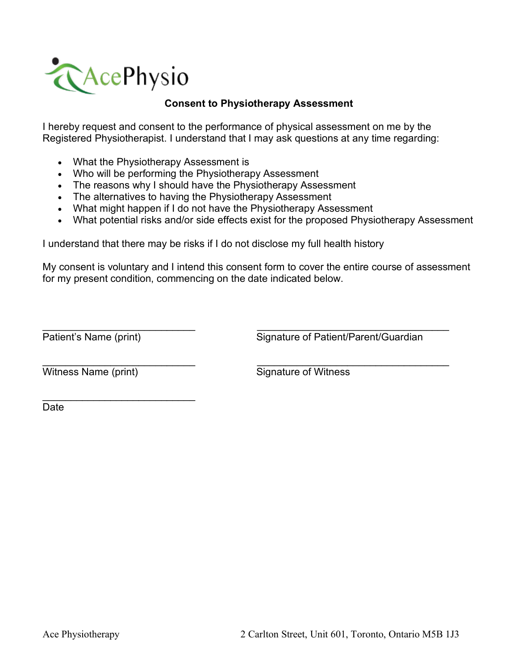

## **Consent to Physiotherapy Assessment**

I hereby request and consent to the performance of physical assessment on me by the Registered Physiotherapist. I understand that I may ask questions at any time regarding:

- What the Physiotherapy Assessment is
- Who will be performing the Physiotherapy Assessment
- The reasons why I should have the Physiotherapy Assessment
- The alternatives to having the Physiotherapy Assessment
- What might happen if I do not have the Physiotherapy Assessment
- What potential risks and/or side effects exist for the proposed Physiotherapy Assessment

I understand that there may be risks if I do not disclose my full health history

My consent is voluntary and I intend this consent form to cover the entire course of assessment for my present condition, commencing on the date indicated below.

 $\overline{\phantom{a}}$  , and the contribution of the contribution of the contribution of the contribution of the contribution of the contribution of the contribution of the contribution of the contribution of the contribution of the

 $\overline{\phantom{a}}$  , and the contribution of the contribution of the contribution of the contribution of the contribution of the contribution of the contribution of the contribution of the contribution of the contribution of the

Patient's Name (print) Signature of Patient/Parent/Guardian

Witness Name (print) Signature of Witness

 $\overline{\phantom{a}}$  , where  $\overline{\phantom{a}}$  , where  $\overline{\phantom{a}}$  , where  $\overline{\phantom{a}}$ 

**Date**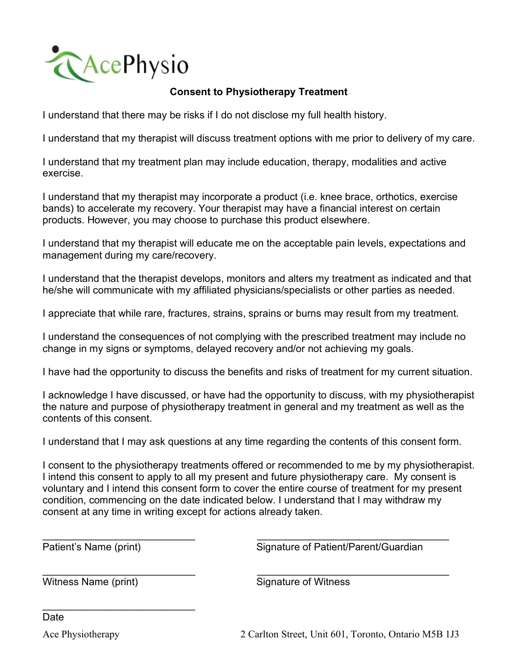

# **Consent to Physiotherapy Treatment**

I understand that there may be risks if I do not disclose my full health history.

I understand that my therapist will discuss treatment options with me prior to delivery of my care.

I understand that my treatment plan may include education, therapy, modalities and active exercise.

I understand that my therapist may incorporate a product (i.e. knee brace, orthotics, exercise bands) to accelerate my recovery. Your therapist may have a financial interest on certain products. However, you may choose to purchase this product elsewhere.

I understand that my therapist will educate me on the acceptable pain levels, expectations and management during my care/recovery.

I understand that the therapist develops, monitors and alters my treatment as indicated and that he/she will communicate with my affiliated physicians/specialists or other parties as needed.

I appreciate that while rare, fractures, strains, sprains or burns may result from my treatment.

I understand the consequences of not complying with the prescribed treatment may include no change in my signs or symptoms, delayed recovery and/or not achieving my goals.

I have had the opportunity to discuss the benefits and risks of treatment for my current situation.

I acknowledge I have discussed, or have had the opportunity to discuss, with my physiotherapist the nature and purpose of physiotherapy treatment in general and my treatment as well as the contents of this consent.

I understand that I may ask questions at any time regarding the contents of this consent form.

I consent to the physiotherapy treatments offered or recommended to me by my physiotherapist. I intend this consent to apply to all my present and future physiotherapy care. My consent is voluntary and I intend this consent form to cover the entire course of treatment for my present condition, commencing on the date indicated below. I understand that I may withdraw my consent at any time in writing except for actions already taken.

 $\overline{\phantom{a}}$  , and the contribution of the contribution of the contribution of the contribution of the contribution of the contribution of the contribution of the contribution of the contribution of the contribution of the

 $\overline{\phantom{a}}$  , and the contribution of the contribution of the contribution of the contribution of the contribution of the contribution of the contribution of the contribution of the contribution of the contribution of the

Patient's Name (print) Signature of Patient/Parent/Guardian

Witness Name (print) Signature of Witness

 $\overline{\phantom{a}}$  , where  $\overline{\phantom{a}}$  , where  $\overline{\phantom{a}}$  , where  $\overline{\phantom{a}}$ 

Date

Ace Physiotherapy 2 Carlton Street, Unit 601, Toronto, Ontario M5B 1J3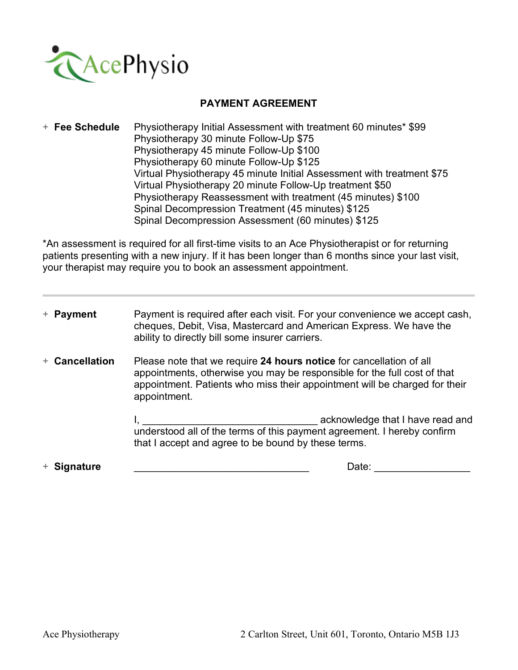

### **PAYMENT AGREEMENT**

+ **Fee Schedule** Physiotherapy Initial Assessment with treatment 60 minutes\* \$99 Physiotherapy 30 minute Follow-Up \$75 Physiotherapy 45 minute Follow-Up \$100 Physiotherapy 60 minute Follow-Up \$125 Virtual Physiotherapy 45 minute Initial Assessment with treatment \$75 Virtual Physiotherapy 20 minute Follow-Up treatment \$50 Physiotherapy Reassessment with treatment (45 minutes) \$100 Spinal Decompression Treatment (45 minutes) \$125 Spinal Decompression Assessment (60 minutes) \$125

\*An assessment is required for all first-time visits to an Ace Physiotherapist or for returning patients presenting with a new injury. If it has been longer than 6 months since your last visit, your therapist may require you to book an assessment appointment.

| + Payment      | Payment is required after each visit. For your convenience we accept cash,<br>cheques, Debit, Visa, Mastercard and American Express. We have the<br>ability to directly bill some insurer carriers.                                           |  |
|----------------|-----------------------------------------------------------------------------------------------------------------------------------------------------------------------------------------------------------------------------------------------|--|
| + Cancellation | Please note that we require 24 hours notice for cancellation of all<br>appointments, otherwise you may be responsible for the full cost of that<br>appointment. Patients who miss their appointment will be charged for their<br>appointment. |  |
|                | understood all of the terms of this payment agreement. I hereby confirm<br>that I accept and agree to be bound by these terms.                                                                                                                |  |
| + Signature    | Date:                                                                                                                                                                                                                                         |  |